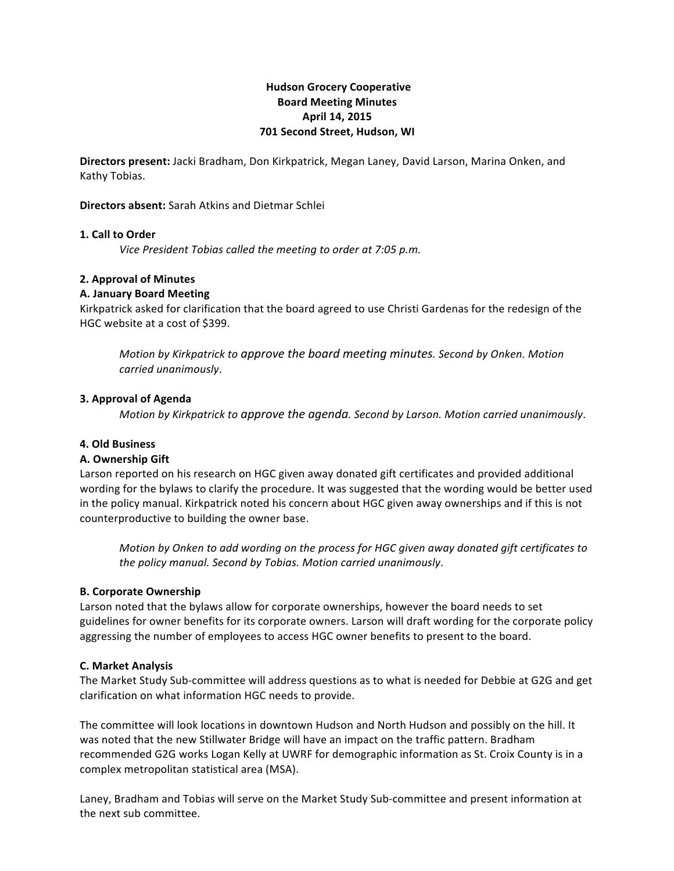# **Hudson!Grocery!Cooperative Board!Meeting!Minutes April!14,!2015 701 Second Street, Hudson, WI**

**Directors present:** Jacki Bradham, Don Kirkpatrick, Megan Laney, David Larson, Marina Onken, and Kathy Tobias.

### **Directors absent:** Sarah Atkins and Dietmar Schlei

### **1. Call to Order**

*Vice President Tobias called the meeting to order at 7:05 p.m.* 

## **2. Approval of Minutes**

### **A.!January Board!Meeting**

Kirkpatrick asked for clarification that the board agreed to use Christi Gardenas for the redesign of the HGC website at a cost of \$399.

*Motion%by%Kirkpatrick to%approve%the%board%meeting%minutes.%Second%by%Onken.%Motion% carried%unanimously*.

### **3. Approval of Agenda**

*Motion%by%Kirkpatrick to%approve%the%agenda.%Second%by%Larson.%Motion%carried%unanimously*.

## **4.!Old!Business**

## **A.!Ownership!Gift**

Larson reported on his research on HGC given away donated gift certificates and provided additional wording for the bylaws to clarify the procedure. It was suggested that the wording would be better used in the policy manual. Kirkpatrick noted his concern about HGC given away ownerships and if this is not counterproductive to building the owner base.

*Motion%by%Onken to%add%wording%on%the%process%for%HGC%given%away%donated%gift%certificates to% the%policy%manual.%Second%by%Tobias.%Motion%carried%unanimously*.

#### **B. Corporate Ownership**

Larson noted that the bylaws allow for corporate ownerships, however the board needs to set guidelines for owner benefits for its corporate owners. Larson will draft wording for the corporate policy aggressing the number of employees to access HGC owner benefits to present to the board.

## **C.!Market!Analysis**

The Market Study Sub-committee will address questions as to what is needed for Debbie at G2G and get clarification on what information HGC needs to provide.

The committee will look locations in downtown Hudson and North Hudson and possibly on the hill. It was noted that the new Stillwater Bridge will have an impact on the traffic pattern. Bradham recommended G2G works Logan Kelly at UWRF for demographic information as St. Croix County is in a complex metropolitan statistical area (MSA).

Laney, Bradham and Tobias will serve on the Market Study Sub-committee and present information at the next sub committee.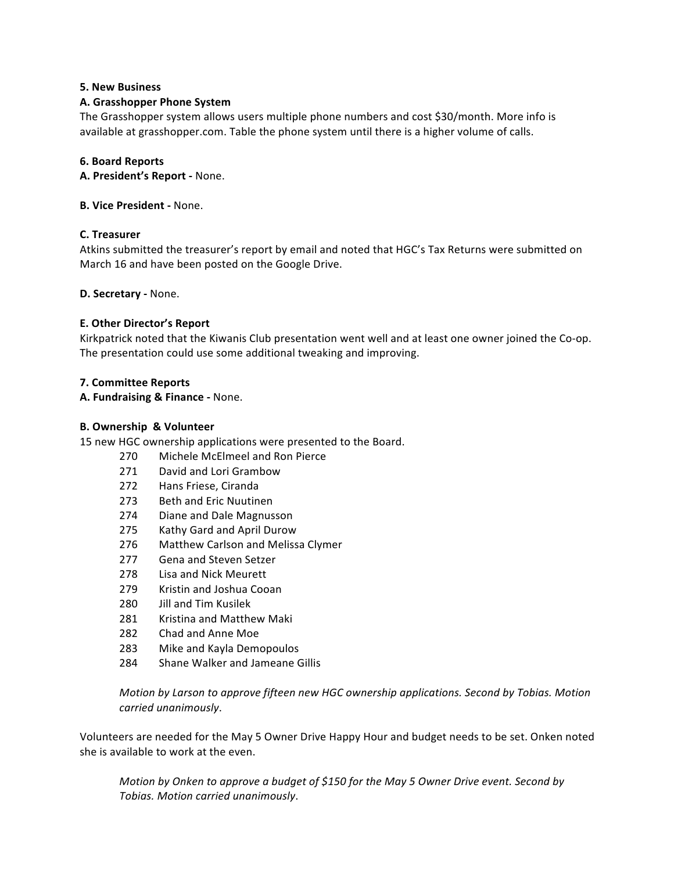### **5. New Business**

## **A. Grasshopper Phone System**

The Grasshopper system allows users multiple phone numbers and cost \$30/month. More info is available at grasshopper.com. Table the phone system until there is a higher volume of calls.

### **6.!Board!Reports**

**A. President's Report - None.** 

**B. Vice President - None.** 

### **C.!Treasurer**

Atkins submitted the treasurer's report by email and noted that HGC's Tax Returns were submitted on March 16 and have been posted on the Google Drive.

**D. Secretary - None.** 

### **E. Other Director's Report**

Kirkpatrick noted that the Kiwanis Club presentation went well and at least one owner joined the Co-op. The presentation could use some additional tweaking and improving.

### **7. Committee!Reports**

**A. Fundraising & Finance - None.** 

### **B.!Ownership &!Volunteer**

15 new HGC ownership applications were presented to the Board.

- 270 Michele McFlmeel and Ron Pierce
- 271 David and Lori Grambow
- 272 Hans Friese, Ciranda
- 273 Beth and Eric Nuutinen
- 274 Diane and Dale Magnusson
- 275 Kathy Gard and April Durow
- 276 Matthew Carlson and Melissa Clymer
- 277 Gena and Steven Setzer
- 278 Lisa and Nick Meurett
- 279 Kristin and Joshua Cooan
- 280 Jill and Tim Kusilek
- 281 Kristina and Matthew Maki
- 282 Chad and Anne Moe
- 283 Mike and Kayla Demopoulos
- 284 Shane Walker and Jameane Gillis

*Motion by Larson to approve fifteen new HGC ownership applications. Second by Tobias. Motion carried%unanimously*.

Volunteers are needed for the May 5 Owner Drive Happy Hour and budget needs to be set. Onken noted she is available to work at the even.

*Motion by Onken to approve a budget of \$150 for the May 5 Owner Drive event. Second by Tobias.%Motion%carried%unanimously*.